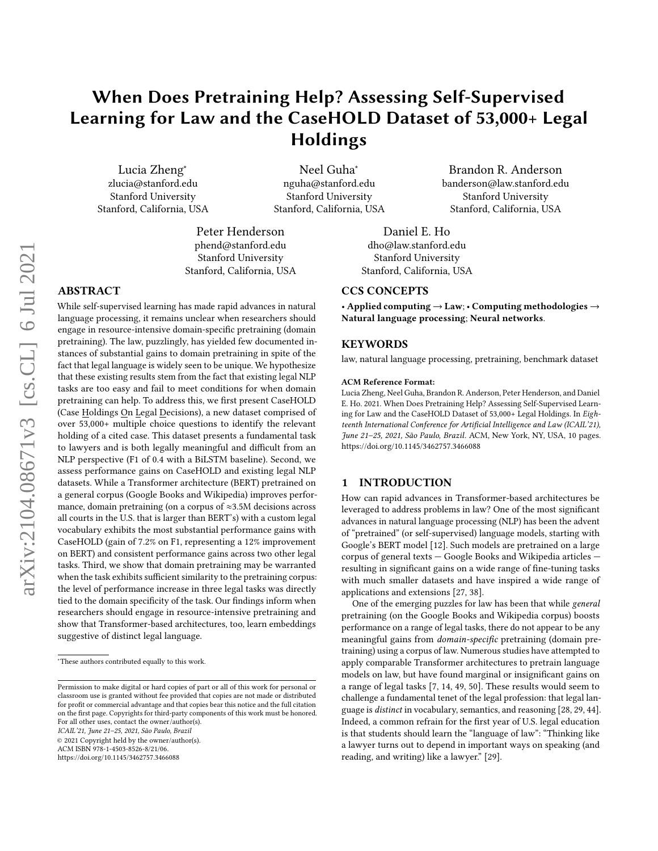# When Does Pretraining Help? Assessing Self-Supervised Learning for Law and the CaseHOLD Dataset of 53,000+ Legal Holdings

Lucia Zheng<sup>∗</sup> zlucia@stanford.edu Stanford University Stanford, California, USA

Neel Guha<sup>∗</sup> nguha@stanford.edu Stanford University Stanford, California, USA

Peter Henderson phend@stanford.edu Stanford University Stanford, California, USA

## ABSTRACT

While self-supervised learning has made rapid advances in natural language processing, it remains unclear when researchers should engage in resource-intensive domain-specific pretraining (domain pretraining). The law, puzzlingly, has yielded few documented instances of substantial gains to domain pretraining in spite of the fact that legal language is widely seen to be unique. We hypothesize that these existing results stem from the fact that existing legal NLP tasks are too easy and fail to meet conditions for when domain pretraining can help. To address this, we first present CaseHOLD (Case Holdings On Legal Decisions), a new dataset comprised of over 53,000+ multiple choice questions to identify the relevant holding of a cited case. This dataset presents a fundamental task to lawyers and is both legally meaningful and difficult from an NLP perspective (F1 of 0.4 with a BiLSTM baseline). Second, we assess performance gains on CaseHOLD and existing legal NLP datasets. While a Transformer architecture (BERT) pretrained on a general corpus (Google Books and Wikipedia) improves performance, domain pretraining (on a corpus of ≈3.5M decisions across all courts in the U.S. that is larger than BERT's) with a custom legal vocabulary exhibits the most substantial performance gains with CaseHOLD (gain of 7.2% on F1, representing a 12% improvement on BERT) and consistent performance gains across two other legal tasks. Third, we show that domain pretraining may be warranted when the task exhibits sufficient similarity to the pretraining corpus: the level of performance increase in three legal tasks was directly tied to the domain specificity of the task. Our findings inform when researchers should engage in resource-intensive pretraining and show that Transformer-based architectures, too, learn embeddings suggestive of distinct legal language.

ICAIL'21, June 21–25, 2021, São Paulo, Brazil

© 2021 Copyright held by the owner/author(s).

ACM ISBN 978-1-4503-8526-8/21/06.

<https://doi.org/10.1145/3462757.3466088>

Daniel E. Ho dho@law.stanford.edu Stanford University

Stanford, California, USA

#### CCS CONCEPTS

• Applied computing  $\rightarrow$  Law; • Computing methodologies  $\rightarrow$ Natural language processing; Neural networks.

Brandon R. Anderson banderson@law.stanford.edu Stanford University Stanford, California, USA

#### KEYWORDS

law, natural language processing, pretraining, benchmark dataset

#### ACM Reference Format:

Lucia Zheng, Neel Guha, Brandon R. Anderson, Peter Henderson, and Daniel E. Ho. 2021. When Does Pretraining Help? Assessing Self-Supervised Learning for Law and the CaseHOLD Dataset of 53,000+ Legal Holdings. In Eighteenth International Conference for Artificial Intelligence and Law (ICAIL'21), June 21–25, 2021, São Paulo, Brazil. ACM, New York, NY, USA, [10](#page-9-0) pages. <https://doi.org/10.1145/3462757.3466088>

#### 1 INTRODUCTION

How can rapid advances in Transformer-based architectures be leveraged to address problems in law? One of the most significant advances in natural language processing (NLP) has been the advent of "pretrained" (or self-supervised) language models, starting with Google's BERT model [\[12\]](#page-8-0). Such models are pretrained on a large corpus of general texts — Google Books and Wikipedia articles resulting in significant gains on a wide range of fine-tuning tasks with much smaller datasets and have inspired a wide range of applications and extensions [\[27,](#page-9-1) [38\]](#page-9-2).

One of the emerging puzzles for law has been that while general pretraining (on the Google Books and Wikipedia corpus) boosts performance on a range of legal tasks, there do not appear to be any meaningful gains from domain-specific pretraining (domain pretraining) using a corpus of law. Numerous studies have attempted to apply comparable Transformer architectures to pretrain language models on law, but have found marginal or insignificant gains on a range of legal tasks [\[7,](#page-8-1) [14,](#page-9-3) [49,](#page-9-4) [50\]](#page-9-5). These results would seem to challenge a fundamental tenet of the legal profession: that legal language is distinct in vocabulary, semantics, and reasoning [\[28,](#page-9-6) [29,](#page-9-7) [44\]](#page-9-8). Indeed, a common refrain for the first year of U.S. legal education is that students should learn the "language of law": "Thinking like a lawyer turns out to depend in important ways on speaking (and reading, and writing) like a lawyer." [\[29\]](#page-9-7).

<sup>∗</sup>These authors contributed equally to this work.

Permission to make digital or hard copies of part or all of this work for personal or classroom use is granted without fee provided that copies are not made or distributed for profit or commercial advantage and that copies bear this notice and the full citation on the first page. Copyrights for third-party components of this work must be honored. For all other uses, contact the owner/author(s).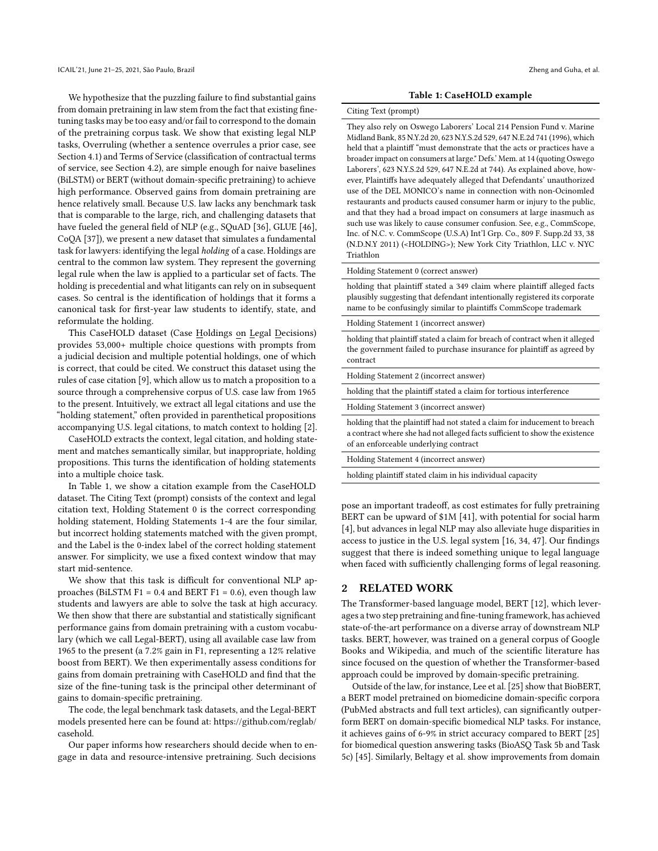We hypothesize that the puzzling failure to find substantial gains from domain pretraining in law stem from the fact that existing finetuning tasks may be too easy and/or fail to correspond to the domain of the pretraining corpus task. We show that existing legal NLP tasks, Overruling (whether a sentence overrules a prior case, see Section [4.1\)](#page-3-0) and Terms of Service (classification of contractual terms of service, see Section [4.2\)](#page-4-0), are simple enough for naive baselines (BiLSTM) or BERT (without domain-specific pretraining) to achieve high performance. Observed gains from domain pretraining are hence relatively small. Because U.S. law lacks any benchmark task that is comparable to the large, rich, and challenging datasets that have fueled the general field of NLP (e.g., SQuAD [\[36\]](#page-9-9), GLUE [\[46\]](#page-9-10), CoQA [\[37\]](#page-9-11)), we present a new dataset that simulates a fundamental task for lawyers: identifying the legal holding of a case. Holdings are central to the common law system. They represent the governing legal rule when the law is applied to a particular set of facts. The holding is precedential and what litigants can rely on in subsequent cases. So central is the identification of holdings that it forms a canonical task for first-year law students to identify, state, and reformulate the holding.

This CaseHOLD dataset (Case Holdings on Legal Decisions) provides 53,000+ multiple choice questions with prompts from a judicial decision and multiple potential holdings, one of which is correct, that could be cited. We construct this dataset using the rules of case citation [\[9\]](#page-8-2), which allow us to match a proposition to a source through a comprehensive corpus of U.S. case law from 1965 to the present. Intuitively, we extract all legal citations and use the "holding statement," often provided in parenthetical propositions accompanying U.S. legal citations, to match context to holding [\[2\]](#page-8-3).

CaseHOLD extracts the context, legal citation, and holding statement and matches semantically similar, but inappropriate, holding propositions. This turns the identification of holding statements into a multiple choice task.

In Table [1,](#page-1-0) we show a citation example from the CaseHOLD dataset. The Citing Text (prompt) consists of the context and legal citation text, Holding Statement 0 is the correct corresponding holding statement, Holding Statements 1-4 are the four similar, but incorrect holding statements matched with the given prompt, and the Label is the 0-index label of the correct holding statement answer. For simplicity, we use a fixed context window that may start mid-sentence.

We show that this task is difficult for conventional NLP approaches (BiLSTM F1 =  $0.4$  and BERT F1 = 0.6), even though law students and lawyers are able to solve the task at high accuracy. We then show that there are substantial and statistically significant performance gains from domain pretraining with a custom vocabulary (which we call Legal-BERT), using all available case law from 1965 to the present (a 7.2% gain in F1, representing a 12% relative boost from BERT). We then experimentally assess conditions for gains from domain pretraining with CaseHOLD and find that the size of the fine-tuning task is the principal other determinant of gains to domain-specific pretraining.

The code, the legal benchmark task datasets, and the Legal-BERT models presented here can be found at: [https://github.com/reglab/](https://github.com/reglab/casehold) [casehold.](https://github.com/reglab/casehold)

Our paper informs how researchers should decide when to engage in data and resource-intensive pretraining. Such decisions

#### Table 1: CaseHOLD example

#### <span id="page-1-0"></span>Citing Text (prompt)

They also rely on Oswego Laborers' Local 214 Pension Fund v. Marine Midland Bank, 85 N.Y.2d 20, 623 N.Y.S.2d 529, 647 N.E.2d 741 (1996), which held that a plaintiff "must demonstrate that the acts or practices have a broader impact on consumers at large." Defs.' Mem. at 14 (quoting Oswego Laborers', 623 N.Y.S.2d 529, 647 N.E.2d at 744). As explained above, however, Plaintiffs have adequately alleged that Defendants' unauthorized use of the DEL MONICO's name in connection with non-Ocinomled restaurants and products caused consumer harm or injury to the public, and that they had a broad impact on consumers at large inasmuch as such use was likely to cause consumer confusion. See, e.g., CommScope, Inc. of N.C. v. CommScope (U.S.A) Int'l Grp. Co., 809 F. Supp.2d 33, 38 (N.D.N.Y 2011) (<HOLDING>); New York City Triathlon, LLC v. NYC Triathlon

Holding Statement 0 (correct answer)

holding that plaintiff stated a 349 claim where plaintiff alleged facts plausibly suggesting that defendant intentionally registered its corporate name to be confusingly similar to plaintiffs CommScope trademark

Holding Statement 1 (incorrect answer)

holding that plaintiff stated a claim for breach of contract when it alleged the government failed to purchase insurance for plaintiff as agreed by contract

Holding Statement 2 (incorrect answer)

holding that the plaintiff stated a claim for tortious interference

Holding Statement 3 (incorrect answer)

holding that the plaintiff had not stated a claim for inducement to breach a contract where she had not alleged facts sufficient to show the existence of an enforceable underlying contract

Holding Statement 4 (incorrect answer)

holding plaintiff stated claim in his individual capacity

pose an important tradeoff, as cost estimates for fully pretraining BERT can be upward of \$1M [\[41\]](#page-9-12), with potential for social harm [\[4\]](#page-8-4), but advances in legal NLP may also alleviate huge disparities in access to justice in the U.S. legal system [\[16,](#page-9-13) [34,](#page-9-14) [47\]](#page-9-15). Our findings suggest that there is indeed something unique to legal language when faced with sufficiently challenging forms of legal reasoning.

#### 2 RELATED WORK

The Transformer-based language model, BERT [\[12\]](#page-8-0), which leverages a two step pretraining and fine-tuning framework, has achieved state-of-the-art performance on a diverse array of downstream NLP tasks. BERT, however, was trained on a general corpus of Google Books and Wikipedia, and much of the scientific literature has since focused on the question of whether the Transformer-based approach could be improved by domain-specific pretraining.

Outside of the law, for instance, Lee et al. [\[25\]](#page-9-16) show that BioBERT, a BERT model pretrained on biomedicine domain-specific corpora (PubMed abstracts and full text articles), can significantly outperform BERT on domain-specific biomedical NLP tasks. For instance, it achieves gains of 6-9% in strict accuracy compared to BERT [\[25\]](#page-9-16) for biomedical question answering tasks (BioASQ Task 5b and Task 5c) [\[45\]](#page-9-17). Similarly, Beltagy et al. show improvements from domain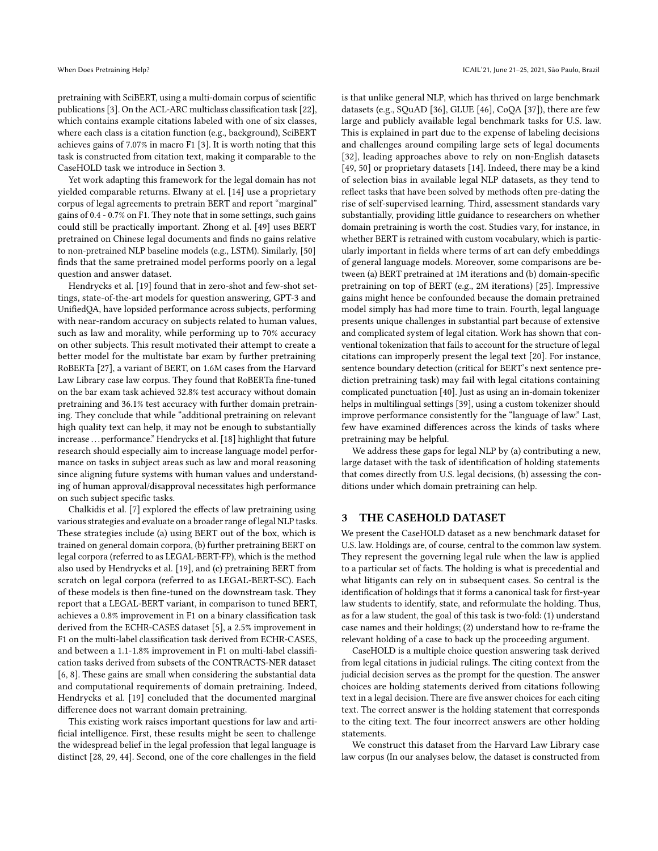pretraining with SciBERT, using a multi-domain corpus of scientific publications [\[3\]](#page-8-5). On the ACL-ARC multiclass classification task [\[22\]](#page-9-18), which contains example citations labeled with one of six classes, where each class is a citation function (e.g., background), SciBERT achieves gains of 7.07% in macro F1 [\[3\]](#page-8-5). It is worth noting that this task is constructed from citation text, making it comparable to the CaseHOLD task we introduce in Section [3.](#page-2-0)

Yet work adapting this framework for the legal domain has not yielded comparable returns. Elwany at el. [\[14\]](#page-9-3) use a proprietary corpus of legal agreements to pretrain BERT and report "marginal" gains of 0.4 - 0.7% on F1. They note that in some settings, such gains could still be practically important. Zhong et al. [\[49\]](#page-9-4) uses BERT pretrained on Chinese legal documents and finds no gains relative to non-pretrained NLP baseline models (e.g., LSTM). Similarly, [\[50\]](#page-9-5) finds that the same pretrained model performs poorly on a legal question and answer dataset.

Hendrycks et al. [\[19\]](#page-9-19) found that in zero-shot and few-shot settings, state-of-the-art models for question answering, GPT-3 and UnifiedQA, have lopsided performance across subjects, performing with near-random accuracy on subjects related to human values, such as law and morality, while performing up to 70% accuracy on other subjects. This result motivated their attempt to create a better model for the multistate bar exam by further pretraining RoBERTa [\[27\]](#page-9-1), a variant of BERT, on 1.6M cases from the Harvard Law Library case law corpus. They found that RoBERTa fine-tuned on the bar exam task achieved 32.8% test accuracy without domain pretraining and 36.1% test accuracy with further domain pretraining. They conclude that while "additional pretraining on relevant high quality text can help, it may not be enough to substantially increase . . . performance." Hendrycks et al. [\[18\]](#page-9-20) highlight that future research should especially aim to increase language model performance on tasks in subject areas such as law and moral reasoning since aligning future systems with human values and understanding of human approval/disapproval necessitates high performance on such subject specific tasks.

Chalkidis et al. [\[7\]](#page-8-1) explored the effects of law pretraining using various strategies and evaluate on a broader range of legal NLP tasks. These strategies include (a) using BERT out of the box, which is trained on general domain corpora, (b) further pretraining BERT on legal corpora (referred to as LEGAL-BERT-FP), which is the method also used by Hendrycks et al. [\[19\]](#page-9-19), and (c) pretraining BERT from scratch on legal corpora (referred to as LEGAL-BERT-SC). Each of these models is then fine-tuned on the downstream task. They report that a LEGAL-BERT variant, in comparison to tuned BERT, achieves a 0.8% improvement in F1 on a binary classification task derived from the ECHR-CASES dataset [\[5\]](#page-8-6), a 2.5% improvement in F1 on the multi-label classification task derived from ECHR-CASES, and between a 1.1-1.8% improvement in F1 on multi-label classification tasks derived from subsets of the CONTRACTS-NER dataset [\[6,](#page-8-7) [8\]](#page-8-8). These gains are small when considering the substantial data and computational requirements of domain pretraining. Indeed, Hendrycks et al. [\[19\]](#page-9-19) concluded that the documented marginal difference does not warrant domain pretraining.

This existing work raises important questions for law and artificial intelligence. First, these results might be seen to challenge the widespread belief in the legal profession that legal language is distinct [\[28,](#page-9-6) [29,](#page-9-7) [44\]](#page-9-8). Second, one of the core challenges in the field

is that unlike general NLP, which has thrived on large benchmark datasets (e.g., SQuAD [\[36\]](#page-9-9), GLUE [\[46\]](#page-9-10), CoQA [\[37\]](#page-9-11)), there are few large and publicly available legal benchmark tasks for U.S. law. This is explained in part due to the expense of labeling decisions and challenges around compiling large sets of legal documents [\[32\]](#page-9-21), leading approaches above to rely on non-English datasets [\[49,](#page-9-4) [50\]](#page-9-5) or proprietary datasets [\[14\]](#page-9-3). Indeed, there may be a kind of selection bias in available legal NLP datasets, as they tend to reflect tasks that have been solved by methods often pre-dating the rise of self-supervised learning. Third, assessment standards vary substantially, providing little guidance to researchers on whether domain pretraining is worth the cost. Studies vary, for instance, in whether BERT is retrained with custom vocabulary, which is particularly important in fields where terms of art can defy embeddings of general language models. Moreover, some comparisons are between (a) BERT pretrained at 1M iterations and (b) domain-specific pretraining on top of BERT (e.g., 2M iterations) [\[25\]](#page-9-16). Impressive gains might hence be confounded because the domain pretrained model simply has had more time to train. Fourth, legal language presents unique challenges in substantial part because of extensive and complicated system of legal citation. Work has shown that conventional tokenization that fails to account for the structure of legal citations can improperly present the legal text [\[20\]](#page-9-22). For instance, sentence boundary detection (critical for BERT's next sentence prediction pretraining task) may fail with legal citations containing complicated punctuation [\[40\]](#page-9-23). Just as using an in-domain tokenizer helps in multilingual settings [\[39\]](#page-9-24), using a custom tokenizer should improve performance consistently for the "language of law." Last, few have examined differences across the kinds of tasks where pretraining may be helpful.

We address these gaps for legal NLP by (a) contributing a new, large dataset with the task of identification of holding statements that comes directly from U.S. legal decisions, (b) assessing the conditions under which domain pretraining can help.

## <span id="page-2-0"></span>3 THE CASEHOLD DATASET

We present the CaseHOLD dataset as a new benchmark dataset for U.S. law. Holdings are, of course, central to the common law system. They represent the governing legal rule when the law is applied to a particular set of facts. The holding is what is precedential and what litigants can rely on in subsequent cases. So central is the identification of holdings that it forms a canonical task for first-year law students to identify, state, and reformulate the holding. Thus, as for a law student, the goal of this task is two-fold: (1) understand case names and their holdings; (2) understand how to re-frame the relevant holding of a case to back up the proceeding argument.

CaseHOLD is a multiple choice question answering task derived from legal citations in judicial rulings. The citing context from the judicial decision serves as the prompt for the question. The answer choices are holding statements derived from citations following text in a legal decision. There are five answer choices for each citing text. The correct answer is the holding statement that corresponds to the citing text. The four incorrect answers are other holding statements.

We construct this dataset from the Harvard Law Library case law corpus (In our analyses below, the dataset is constructed from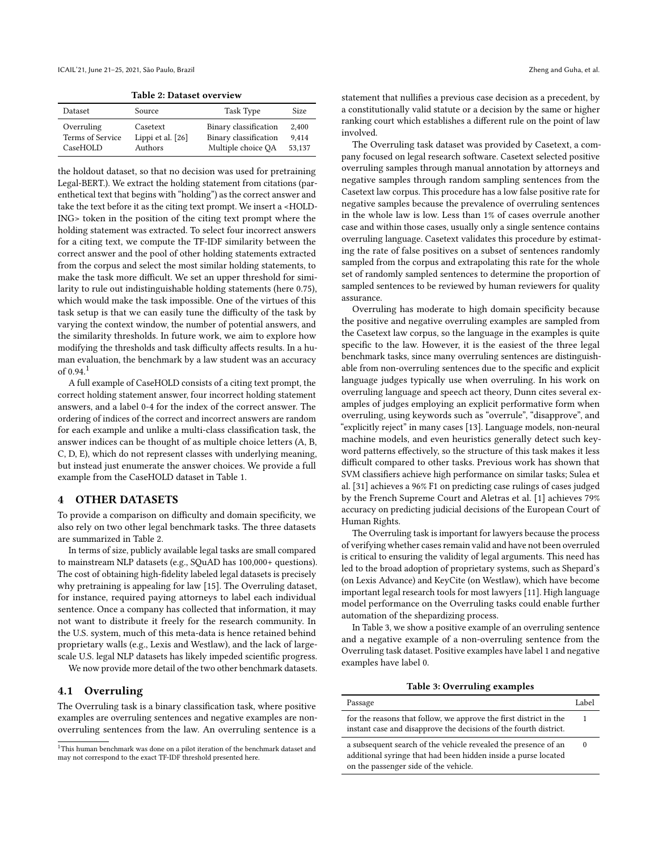Table 2: Dataset overview

<span id="page-3-2"></span>

| Dataset          | Source            | Task Type             | Size.  |
|------------------|-------------------|-----------------------|--------|
| Overruling       | Casetext          | Binary classification | 2.400  |
| Terms of Service | Lippi et al. [26] | Binary classification | 9.414  |
| CaseHOLD         | Authors           | Multiple choice QA    | 53,137 |

the holdout dataset, so that no decision was used for pretraining Legal-BERT.). We extract the holding statement from citations (parenthetical text that begins with "holding") as the correct answer and take the text before it as the citing text prompt. We insert a <HOLD-ING> token in the position of the citing text prompt where the holding statement was extracted. To select four incorrect answers for a citing text, we compute the TF-IDF similarity between the correct answer and the pool of other holding statements extracted from the corpus and select the most similar holding statements, to make the task more difficult. We set an upper threshold for similarity to rule out indistinguishable holding statements (here 0.75), which would make the task impossible. One of the virtues of this task setup is that we can easily tune the difficulty of the task by varying the context window, the number of potential answers, and the similarity thresholds. In future work, we aim to explore how modifying the thresholds and task difficulty affects results. In a human evaluation, the benchmark by a law student was an accuracy of 0.94.[1](#page-3-1)

A full example of CaseHOLD consists of a citing text prompt, the correct holding statement answer, four incorrect holding statement answers, and a label 0-4 for the index of the correct answer. The ordering of indices of the correct and incorrect answers are random for each example and unlike a multi-class classification task, the answer indices can be thought of as multiple choice letters (A, B, C, D, E), which do not represent classes with underlying meaning, but instead just enumerate the answer choices. We provide a full example from the CaseHOLD dataset in Table [1.](#page-1-0)

#### 4 OTHER DATASETS

To provide a comparison on difficulty and domain specificity, we also rely on two other legal benchmark tasks. The three datasets are summarized in Table [2.](#page-3-2)

In terms of size, publicly available legal tasks are small compared to mainstream NLP datasets (e.g., SQuAD has 100,000+ questions). The cost of obtaining high-fidelity labeled legal datasets is precisely why pretraining is appealing for law [\[15\]](#page-9-26). The Overruling dataset, for instance, required paying attorneys to label each individual sentence. Once a company has collected that information, it may not want to distribute it freely for the research community. In the U.S. system, much of this meta-data is hence retained behind proprietary walls (e.g., Lexis and Westlaw), and the lack of largescale U.S. legal NLP datasets has likely impeded scientific progress.

We now provide more detail of the two other benchmark datasets.

#### <span id="page-3-0"></span>4.1 Overruling

The Overruling task is a binary classification task, where positive examples are overruling sentences and negative examples are nonoverruling sentences from the law. An overruling sentence is a

statement that nullifies a previous case decision as a precedent, by a constitutionally valid statute or a decision by the same or higher ranking court which establishes a different rule on the point of law involved.

The Overruling task dataset was provided by Casetext, a company focused on legal research software. Casetext selected positive overruling samples through manual annotation by attorneys and negative samples through random sampling sentences from the Casetext law corpus. This procedure has a low false positive rate for negative samples because the prevalence of overruling sentences in the whole law is low. Less than 1% of cases overrule another case and within those cases, usually only a single sentence contains overruling language. Casetext validates this procedure by estimating the rate of false positives on a subset of sentences randomly sampled from the corpus and extrapolating this rate for the whole set of randomly sampled sentences to determine the proportion of sampled sentences to be reviewed by human reviewers for quality assurance.

Overruling has moderate to high domain specificity because the positive and negative overruling examples are sampled from the Casetext law corpus, so the language in the examples is quite specific to the law. However, it is the easiest of the three legal benchmark tasks, since many overruling sentences are distinguishable from non-overruling sentences due to the specific and explicit language judges typically use when overruling. In his work on overruling language and speech act theory, Dunn cites several examples of judges employing an explicit performative form when overruling, using keywords such as "overrule", "disapprove", and "explicitly reject" in many cases [\[13\]](#page-9-27). Language models, non-neural machine models, and even heuristics generally detect such keyword patterns effectively, so the structure of this task makes it less difficult compared to other tasks. Previous work has shown that SVM classifiers achieve high performance on similar tasks; Sulea et al. [\[31\]](#page-9-28) achieves a 96% F1 on predicting case rulings of cases judged by the French Supreme Court and Aletras et al. [\[1\]](#page-8-9) achieves 79% accuracy on predicting judicial decisions of the European Court of Human Rights.

The Overruling task is important for lawyers because the process of verifying whether cases remain valid and have not been overruled is critical to ensuring the validity of legal arguments. This need has led to the broad adoption of proprietary systems, such as Shepard's (on Lexis Advance) and KeyCite (on Westlaw), which have become important legal research tools for most lawyers [\[11\]](#page-8-10). High language model performance on the Overruling tasks could enable further automation of the shepardizing process.

In Table [3,](#page-3-3) we show a positive example of an overruling sentence and a negative example of a non-overruling sentence from the Overruling task dataset. Positive examples have label 1 and negative examples have label 0.

#### Table 3: Overruling examples

<span id="page-3-3"></span>

| Passage                                                                                                                                                                   | Label    |
|---------------------------------------------------------------------------------------------------------------------------------------------------------------------------|----------|
| for the reasons that follow, we approve the first district in the<br>instant case and disapprove the decisions of the fourth district.                                    |          |
| a subsequent search of the vehicle revealed the presence of an<br>additional syringe that had been hidden inside a purse located<br>on the passenger side of the vehicle. | $\theta$ |

<span id="page-3-1"></span><sup>&</sup>lt;sup>1</sup>This human benchmark was done on a pilot iteration of the benchmark dataset and may not correspond to the exact TF-IDF threshold presented here.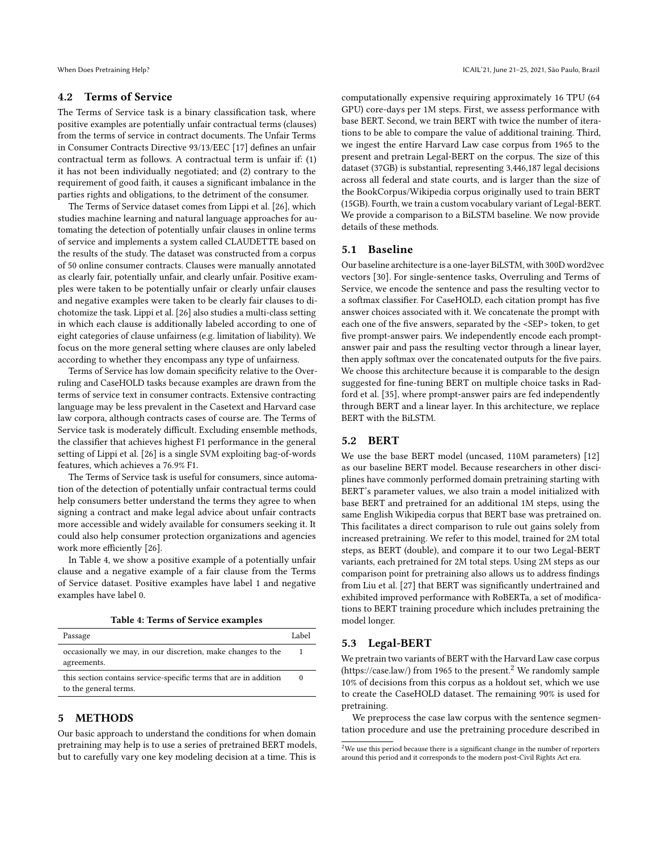#### <span id="page-4-0"></span>4.2 Terms of Service

The Terms of Service task is a binary classification task, where positive examples are potentially unfair contractual terms (clauses) from the terms of service in contract documents. The Unfair Terms in Consumer Contracts Directive 93/13/EEC [\[17\]](#page-9-29) defines an unfair contractual term as follows. A contractual term is unfair if: (1) it has not been individually negotiated; and (2) contrary to the requirement of good faith, it causes a significant imbalance in the parties rights and obligations, to the detriment of the consumer.

The Terms of Service dataset comes from Lippi et al. [\[26\]](#page-9-25), which studies machine learning and natural language approaches for automating the detection of potentially unfair clauses in online terms of service and implements a system called CLAUDETTE based on the results of the study. The dataset was constructed from a corpus of 50 online consumer contracts. Clauses were manually annotated as clearly fair, potentially unfair, and clearly unfair. Positive examples were taken to be potentially unfair or clearly unfair clauses and negative examples were taken to be clearly fair clauses to dichotomize the task. Lippi et al. [\[26\]](#page-9-25) also studies a multi-class setting in which each clause is additionally labeled according to one of eight categories of clause unfairness (e.g. limitation of liability). We focus on the more general setting where clauses are only labeled according to whether they encompass any type of unfairness.

Terms of Service has low domain specificity relative to the Overruling and CaseHOLD tasks because examples are drawn from the terms of service text in consumer contracts. Extensive contracting language may be less prevalent in the Casetext and Harvard case law corpora, although contracts cases of course are. The Terms of Service task is moderately difficult. Excluding ensemble methods, the classifier that achieves highest F1 performance in the general setting of Lippi et al. [\[26\]](#page-9-25) is a single SVM exploiting bag-of-words features, which achieves a 76.9% F1.

The Terms of Service task is useful for consumers, since automation of the detection of potentially unfair contractual terms could help consumers better understand the terms they agree to when signing a contract and make legal advice about unfair contracts more accessible and widely available for consumers seeking it. It could also help consumer protection organizations and agencies work more efficiently [\[26\]](#page-9-25).

In Table [4,](#page-4-1) we show a positive example of a potentially unfair clause and a negative example of a fair clause from the Terms of Service dataset. Positive examples have label 1 and negative examples have label 0.

Table 4: Terms of Service examples

<span id="page-4-1"></span>

| Passage                                                                                    | Label    |
|--------------------------------------------------------------------------------------------|----------|
| occasionally we may, in our discretion, make changes to the<br>agreements.                 |          |
| this section contains service-specific terms that are in addition<br>to the general terms. | $\Omega$ |

## <span id="page-4-3"></span>5 METHODS

Our basic approach to understand the conditions for when domain pretraining may help is to use a series of pretrained BERT models, but to carefully vary one key modeling decision at a time. This is

computationally expensive requiring approximately 16 TPU (64 GPU) core-days per 1M steps. First, we assess performance with base BERT. Second, we train BERT with twice the number of iterations to be able to compare the value of additional training. Third, we ingest the entire Harvard Law case corpus from 1965 to the present and pretrain Legal-BERT on the corpus. The size of this dataset (37GB) is substantial, representing 3,446,187 legal decisions across all federal and state courts, and is larger than the size of the BookCorpus/Wikipedia corpus originally used to train BERT (15GB). Fourth, we train a custom vocabulary variant of Legal-BERT. We provide a comparison to a BiLSTM baseline. We now provide details of these methods.

#### 5.1 Baseline

Our baseline architecture is a one-layer BiLSTM, with 300D word2vec vectors [\[30\]](#page-9-30). For single-sentence tasks, Overruling and Terms of Service, we encode the sentence and pass the resulting vector to a softmax classifier. For CaseHOLD, each citation prompt has five answer choices associated with it. We concatenate the prompt with each one of the five answers, separated by the <SEP> token, to get five prompt-answer pairs. We independently encode each promptanswer pair and pass the resulting vector through a linear layer, then apply softmax over the concatenated outputs for the five pairs. We choose this architecture because it is comparable to the design suggested for fine-tuning BERT on multiple choice tasks in Radford et al. [\[35\]](#page-9-31), where prompt-answer pairs are fed independently through BERT and a linear layer. In this architecture, we replace BERT with the BiLSTM.

## 5.2 BERT

We use the base BERT model (uncased, 110M parameters) [\[12\]](#page-8-0) as our baseline BERT model. Because researchers in other disciplines have commonly performed domain pretraining starting with BERT's parameter values, we also train a model initialized with base BERT and pretrained for an additional 1M steps, using the same English Wikipedia corpus that BERT base was pretrained on. This facilitates a direct comparison to rule out gains solely from increased pretraining. We refer to this model, trained for 2M total steps, as BERT (double), and compare it to our two Legal-BERT variants, each pretrained for 2M total steps. Using 2M steps as our comparison point for pretraining also allows us to address findings from Liu et al. [\[27\]](#page-9-1) that BERT was significantly undertrained and exhibited improved performance with RoBERTa, a set of modifications to BERT training procedure which includes pretraining the model longer.

## 5.3 Legal-BERT

We pretrain two variants of BERT with the Harvard Law case corpus [\(https://case.law/\)](https://case.law/) from 1965 to the present.<sup>[2](#page-4-2)</sup> We randomly sample 10% of decisions from this corpus as a holdout set, which we use to create the CaseHOLD dataset. The remaining 90% is used for pretraining.

We preprocess the case law corpus with the sentence segmentation procedure and use the pretraining procedure described in

<span id="page-4-2"></span> $^2\rm{We}$  use this period because there is a significant change in the number of reporters around this period and it corresponds to the modern post-Civil Rights Act era.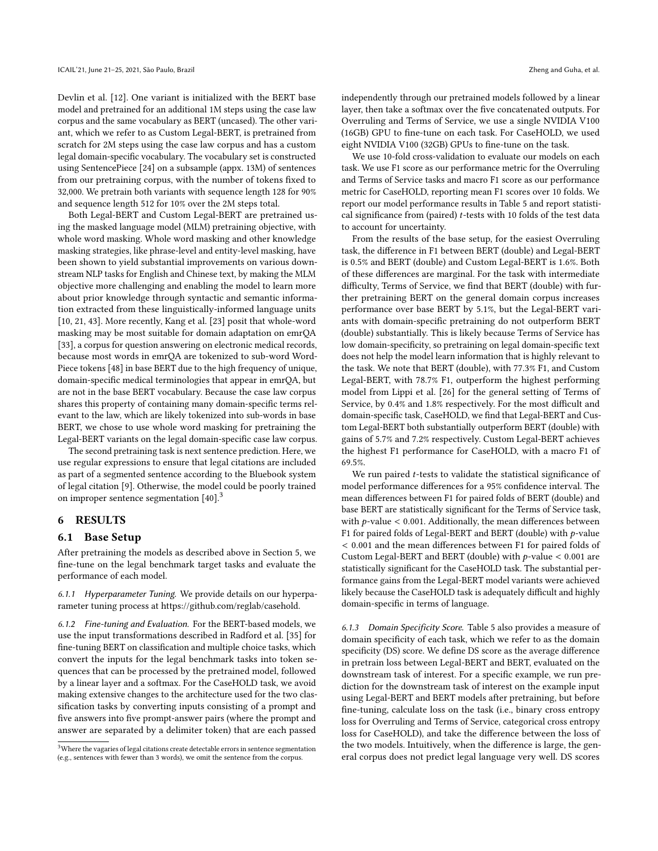Devlin et al. [\[12\]](#page-8-0). One variant is initialized with the BERT base model and pretrained for an additional 1M steps using the case law corpus and the same vocabulary as BERT (uncased). The other variant, which we refer to as Custom Legal-BERT, is pretrained from scratch for 2M steps using the case law corpus and has a custom legal domain-specific vocabulary. The vocabulary set is constructed using SentencePiece [\[24\]](#page-9-32) on a subsample (appx. 13M) of sentences from our pretraining corpus, with the number of tokens fixed to 32,000. We pretrain both variants with sequence length 128 for 90% and sequence length 512 for 10% over the 2M steps total.

Both Legal-BERT and Custom Legal-BERT are pretrained using the masked language model (MLM) pretraining objective, with whole word masking. Whole word masking and other knowledge masking strategies, like phrase-level and entity-level masking, have been shown to yield substantial improvements on various downstream NLP tasks for English and Chinese text, by making the MLM objective more challenging and enabling the model to learn more about prior knowledge through syntactic and semantic information extracted from these linguistically-informed language units [\[10,](#page-8-11) [21,](#page-9-33) [43\]](#page-9-34). More recently, Kang et al. [\[23\]](#page-9-35) posit that whole-word masking may be most suitable for domain adaptation on emrQA [\[33\]](#page-9-36), a corpus for question answering on electronic medical records, because most words in emrQA are tokenized to sub-word Word-Piece tokens [\[48\]](#page-9-37) in base BERT due to the high frequency of unique, domain-specific medical terminologies that appear in emrQA, but are not in the base BERT vocabulary. Because the case law corpus shares this property of containing many domain-specific terms relevant to the law, which are likely tokenized into sub-words in base BERT, we chose to use whole word masking for pretraining the Legal-BERT variants on the legal domain-specific case law corpus.

The second pretraining task is next sentence prediction. Here, we use regular expressions to ensure that legal citations are included as part of a segmented sentence according to the Bluebook system of legal citation [\[9\]](#page-8-2). Otherwise, the model could be poorly trained on improper sentence segmentation [\[40\]](#page-9-23).[3](#page-5-0)

### 6 RESULTS

#### 6.1 Base Setup

After pretraining the models as described above in Section [5,](#page-4-3) we fine-tune on the legal benchmark target tasks and evaluate the performance of each model.

6.1.1 Hyperparameter Tuning. We provide details on our hyperparameter tuning process at [https://github.com/reglab/casehold.](https://github.com/reglab/casehold)

6.1.2 Fine-tuning and Evaluation. For the BERT-based models, we use the input transformations described in Radford et al. [\[35\]](#page-9-31) for fine-tuning BERT on classification and multiple choice tasks, which convert the inputs for the legal benchmark tasks into token sequences that can be processed by the pretrained model, followed by a linear layer and a softmax. For the CaseHOLD task, we avoid making extensive changes to the architecture used for the two classification tasks by converting inputs consisting of a prompt and five answers into five prompt-answer pairs (where the prompt and answer are separated by a delimiter token) that are each passed

independently through our pretrained models followed by a linear layer, then take a softmax over the five concatenated outputs. For Overruling and Terms of Service, we use a single NVIDIA V100 (16GB) GPU to fine-tune on each task. For CaseHOLD, we used eight NVIDIA V100 (32GB) GPUs to fine-tune on the task.

We use 10-fold cross-validation to evaluate our models on each task. We use F1 score as our performance metric for the Overruling and Terms of Service tasks and macro F1 score as our performance metric for CaseHOLD, reporting mean F1 scores over 10 folds. We report our model performance results in Table [5](#page-6-0) and report statistical significance from (paired)  $t$ -tests with 10 folds of the test data to account for uncertainty.

From the results of the base setup, for the easiest Overruling task, the difference in F1 between BERT (double) and Legal-BERT is 0.5% and BERT (double) and Custom Legal-BERT is 1.6%. Both of these differences are marginal. For the task with intermediate difficulty, Terms of Service, we find that BERT (double) with further pretraining BERT on the general domain corpus increases performance over base BERT by 5.1%, but the Legal-BERT variants with domain-specific pretraining do not outperform BERT (double) substantially. This is likely because Terms of Service has low domain-specificity, so pretraining on legal domain-specific text does not help the model learn information that is highly relevant to the task. We note that BERT (double), with 77.3% F1, and Custom Legal-BERT, with 78.7% F1, outperform the highest performing model from Lippi et al. [\[26\]](#page-9-25) for the general setting of Terms of Service, by 0.4% and 1.8% respectively. For the most difficult and domain-specific task, CaseHOLD, we find that Legal-BERT and Custom Legal-BERT both substantially outperform BERT (double) with gains of 5.7% and 7.2% respectively. Custom Legal-BERT achieves the highest F1 performance for CaseHOLD, with a macro F1 of 69.5%.

We run paired  $t$ -tests to validate the statistical significance of model performance differences for a 95% confidence interval. The mean differences between F1 for paired folds of BERT (double) and base BERT are statistically significant for the Terms of Service task, with  $p$ -value < 0.001. Additionally, the mean differences between F1 for paired folds of Legal-BERT and BERT (double) with  $p$ -value < 0.001 and the mean differences between F1 for paired folds of Custom Legal-BERT and BERT (double) with  $p$ -value < 0.001 are statistically significant for the CaseHOLD task. The substantial performance gains from the Legal-BERT model variants were achieved likely because the CaseHOLD task is adequately difficult and highly domain-specific in terms of language.

6.1.3 Domain Specificity Score. Table [5](#page-6-0) also provides a measure of domain specificity of each task, which we refer to as the domain specificity (DS) score. We define DS score as the average difference in pretrain loss between Legal-BERT and BERT, evaluated on the downstream task of interest. For a specific example, we run prediction for the downstream task of interest on the example input using Legal-BERT and BERT models after pretraining, but before fine-tuning, calculate loss on the task (i.e., binary cross entropy loss for Overruling and Terms of Service, categorical cross entropy loss for CaseHOLD), and take the difference between the loss of the two models. Intuitively, when the difference is large, the general corpus does not predict legal language very well. DS scores

<span id="page-5-0"></span><sup>&</sup>lt;sup>3</sup>Where the vagaries of legal citations create detectable errors in sentence segmentation (e.g., sentences with fewer than 3 words), we omit the sentence from the corpus.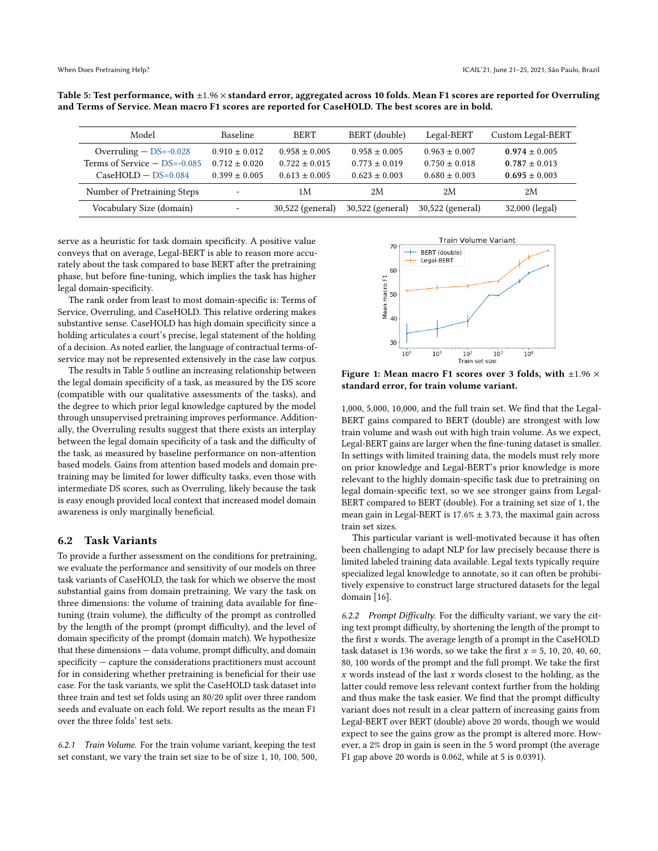| Model                                                                               | Baseline                                                | <b>BERT</b>                                             | BERT (double)                                           | Legal-BERT                                                  | Custom Legal-BERT                                           |
|-------------------------------------------------------------------------------------|---------------------------------------------------------|---------------------------------------------------------|---------------------------------------------------------|-------------------------------------------------------------|-------------------------------------------------------------|
| Overruling $-$ DS=-0.028<br>Terms of Service $-$ DS=-0.085<br>$CaseHOLD - DS=0.084$ | $0.910 \pm 0.012$<br>$0.712 + 0.020$<br>$0.399 + 0.005$ | $0.958 \pm 0.005$<br>$0.722 + 0.015$<br>$0.613 + 0.005$ | $0.958 \pm 0.005$<br>$0.773 + 0.019$<br>$0.623 + 0.003$ | $0.963 \pm 0.007$<br>$0.750 \pm 0.018$<br>$0.680 \pm 0.003$ | $0.974 \pm 0.005$<br>$0.787 \pm 0.013$<br>$0.695 \pm 0.003$ |
| Number of Pretraining Steps                                                         | $\overline{\phantom{0}}$                                | 1M                                                      | 2M                                                      | 2M                                                          | 2Μ                                                          |
| Vocabulary Size (domain)                                                            | ۰                                                       | 30,522 (general)                                        | $30,522$ (general)                                      | 30,522 (general)                                            | 32,000 (legal)                                              |

<span id="page-6-0"></span>Table 5: Test performance, with  $\pm 1.96 \times$  standard error, aggregated across 10 folds. Mean F1 scores are reported for Overruling and Terms of Service. Mean macro F1 scores are reported for CaseHOLD. The best scores are in bold.

serve as a heuristic for task domain specificity. A positive value conveys that on average, Legal-BERT is able to reason more accurately about the task compared to base BERT after the pretraining phase, but before fine-tuning, which implies the task has higher legal domain-specificity.

The rank order from least to most domain-specific is: Terms of Service, Overruling, and CaseHOLD. This relative ordering makes substantive sense. CaseHOLD has high domain specificity since a holding articulates a court's precise, legal statement of the holding of a decision. As noted earlier, the language of contractual terms-ofservice may not be represented extensively in the case law corpus.

The results in Table [5](#page-6-0) outline an increasing relationship between the legal domain specificity of a task, as measured by the DS score (compatible with our qualitative assessments of the tasks), and the degree to which prior legal knowledge captured by the model through unsupervised pretraining improves performance. Additionally, the Overruling results suggest that there exists an interplay between the legal domain specificity of a task and the difficulty of the task, as measured by baseline performance on non-attention based models. Gains from attention based models and domain pretraining may be limited for lower difficulty tasks, even those with intermediate DS scores, such as Overruling, likely because the task is easy enough provided local context that increased model domain awareness is only marginally beneficial.

#### 6.2 Task Variants

To provide a further assessment on the conditions for pretraining, we evaluate the performance and sensitivity of our models on three task variants of CaseHOLD, the task for which we observe the most substantial gains from domain pretraining. We vary the task on three dimensions: the volume of training data available for finetuning (train volume), the difficulty of the prompt as controlled by the length of the prompt (prompt difficulty), and the level of domain specificity of the prompt (domain match). We hypothesize that these dimensions — data volume, prompt difficulty, and domain specificity — capture the considerations practitioners must account for in considering whether pretraining is beneficial for their use case. For the task variants, we split the CaseHOLD task dataset into three train and test set folds using an 80/20 split over three random seeds and evaluate on each fold. We report results as the mean F1 over the three folds' test sets.

6.2.1 Train Volume. For the train volume variant, keeping the test set constant, we vary the train set size to be of size 1, 10, 100, 500,



Figure 1: Mean macro F1 scores over 3 folds, with  $\pm 1.96 \times$ standard error, for train volume variant.

1,000, 5,000, 10,000, and the full train set. We find that the Legal-BERT gains compared to BERT (double) are strongest with low train volume and wash out with high train volume. As we expect, Legal-BERT gains are larger when the fine-tuning dataset is smaller. In settings with limited training data, the models must rely more on prior knowledge and Legal-BERT's prior knowledge is more relevant to the highly domain-specific task due to pretraining on legal domain-specific text, so we see stronger gains from Legal-BERT compared to BERT (double). For a training set size of 1, the mean gain in Legal-BERT is 17.6%  $\pm$  3.73, the maximal gain across train set sizes.

This particular variant is well-motivated because it has often been challenging to adapt NLP for law precisely because there is limited labeled training data available. Legal texts typically require specialized legal knowledge to annotate, so it can often be prohibitively expensive to construct large structured datasets for the legal domain [\[16\]](#page-9-13).

6.2.2 Prompt Difficulty. For the difficulty variant, we vary the citing text prompt difficulty, by shortening the length of the prompt to the first  $x$  words. The average length of a prompt in the CaseHOLD task dataset is 136 words, so we take the first  $x = 5$ , 10, 20, 40, 60, 80, 100 words of the prompt and the full prompt. We take the first  $x$  words instead of the last  $x$  words closest to the holding, as the latter could remove less relevant context further from the holding and thus make the task easier. We find that the prompt difficulty variant does not result in a clear pattern of increasing gains from Legal-BERT over BERT (double) above 20 words, though we would expect to see the gains grow as the prompt is altered more. However, a 2% drop in gain is seen in the 5 word prompt (the average F1 gap above 20 words is 0.062, while at 5 is 0.0391).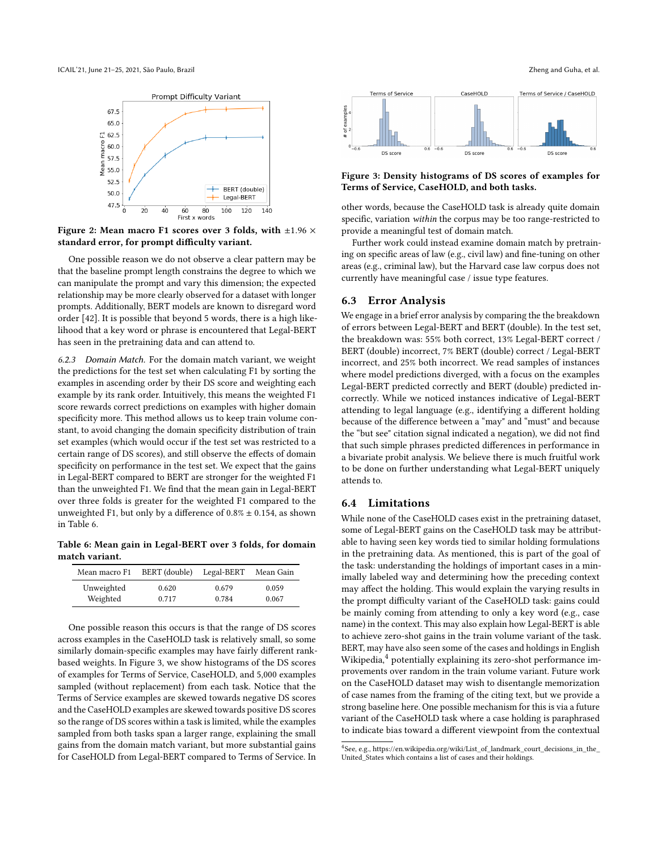

Figure 2: Mean macro F1 scores over 3 folds, with  $\pm 1.96 \times$ standard error, for prompt difficulty variant.

One possible reason we do not observe a clear pattern may be that the baseline prompt length constrains the degree to which we can manipulate the prompt and vary this dimension; the expected relationship may be more clearly observed for a dataset with longer prompts. Additionally, BERT models are known to disregard word order [\[42\]](#page-9-38). It is possible that beyond 5 words, there is a high likelihood that a key word or phrase is encountered that Legal-BERT has seen in the pretraining data and can attend to.

6.2.3 Domain Match. For the domain match variant, we weight the predictions for the test set when calculating F1 by sorting the examples in ascending order by their DS score and weighting each example by its rank order. Intuitively, this means the weighted F1 score rewards correct predictions on examples with higher domain specificity more. This method allows us to keep train volume constant, to avoid changing the domain specificity distribution of train set examples (which would occur if the test set was restricted to a certain range of DS scores), and still observe the effects of domain specificity on performance in the test set. We expect that the gains in Legal-BERT compared to BERT are stronger for the weighted F1 than the unweighted F1. We find that the mean gain in Legal-BERT over three folds is greater for the weighted F1 compared to the unweighted F1, but only by a difference of  $0.8\% \pm 0.154$ , as shown in Table [6.](#page-7-0)

<span id="page-7-0"></span>Table 6: Mean gain in Legal-BERT over 3 folds, for domain match variant.

| Mean macro F1 | BERT (double) | Legal-BERT | Mean Gain |
|---------------|---------------|------------|-----------|
| Unweighted    | 0.620         | 0.679      | 0.059     |
| Weighted      | 0.717         | 0.784      | 0.067     |

One possible reason this occurs is that the range of DS scores across examples in the CaseHOLD task is relatively small, so some similarly domain-specific examples may have fairly different rankbased weights. In Figure [3,](#page-7-1) we show histograms of the DS scores of examples for Terms of Service, CaseHOLD, and 5,000 examples sampled (without replacement) from each task. Notice that the Terms of Service examples are skewed towards negative DS scores and the CaseHOLD examples are skewed towards positive DS scores so the range of DS scores within a task is limited, while the examples sampled from both tasks span a larger range, explaining the small gains from the domain match variant, but more substantial gains for CaseHOLD from Legal-BERT compared to Terms of Service. In



#### Figure 3: Density histograms of DS scores of examples for Terms of Service, CaseHOLD, and both tasks.

DS score

other words, because the CaseHOLD task is already quite domain specific, variation within the corpus may be too range-restricted to provide a meaningful test of domain match.

Further work could instead examine domain match by pretraining on specific areas of law (e.g., civil law) and fine-tuning on other areas (e.g., criminal law), but the Harvard case law corpus does not currently have meaningful case / issue type features.

#### 6.3 Error Analysis

DS score

<span id="page-7-1"></span>:xamples

We engage in a brief error analysis by comparing the the breakdown of errors between Legal-BERT and BERT (double). In the test set, the breakdown was: 55% both correct, 13% Legal-BERT correct / BERT (double) incorrect, 7% BERT (double) correct / Legal-BERT incorrect, and 25% both incorrect. We read samples of instances where model predictions diverged, with a focus on the examples Legal-BERT predicted correctly and BERT (double) predicted incorrectly. While we noticed instances indicative of Legal-BERT attending to legal language (e.g., identifying a different holding because of the difference between a "may" and "must" and because the "but see" citation signal indicated a negation), we did not find that such simple phrases predicted differences in performance in a bivariate probit analysis. We believe there is much fruitful work to be done on further understanding what Legal-BERT uniquely attends to.

#### 6.4 Limitations

While none of the CaseHOLD cases exist in the pretraining dataset, some of Legal-BERT gains on the CaseHOLD task may be attributable to having seen key words tied to similar holding formulations in the pretraining data. As mentioned, this is part of the goal of the task: understanding the holdings of important cases in a minimally labeled way and determining how the preceding context may affect the holding. This would explain the varying results in the prompt difficulty variant of the CaseHOLD task: gains could be mainly coming from attending to only a key word (e.g., case name) in the context. This may also explain how Legal-BERT is able to achieve zero-shot gains in the train volume variant of the task. BERT, may have also seen some of the cases and holdings in English Wikipedia,<sup>[4](#page-7-2)</sup> potentially explaining its zero-shot performance improvements over random in the train volume variant. Future work on the CaseHOLD dataset may wish to disentangle memorization of case names from the framing of the citing text, but we provide a strong baseline here. One possible mechanism for this is via a future variant of the CaseHOLD task where a case holding is paraphrased to indicate bias toward a different viewpoint from the contextual

<span id="page-7-2"></span><sup>4</sup> See, e.g., [https://en.wikipedia.org/wiki/List\\_of\\_landmark\\_court\\_decisions\\_in\\_the\\_](https://en.wikipedia.org/wiki/List_of_landmark_court_decisions_in_the_United_States) [United\\_States](https://en.wikipedia.org/wiki/List_of_landmark_court_decisions_in_the_United_States) which contains a list of cases and their holdings.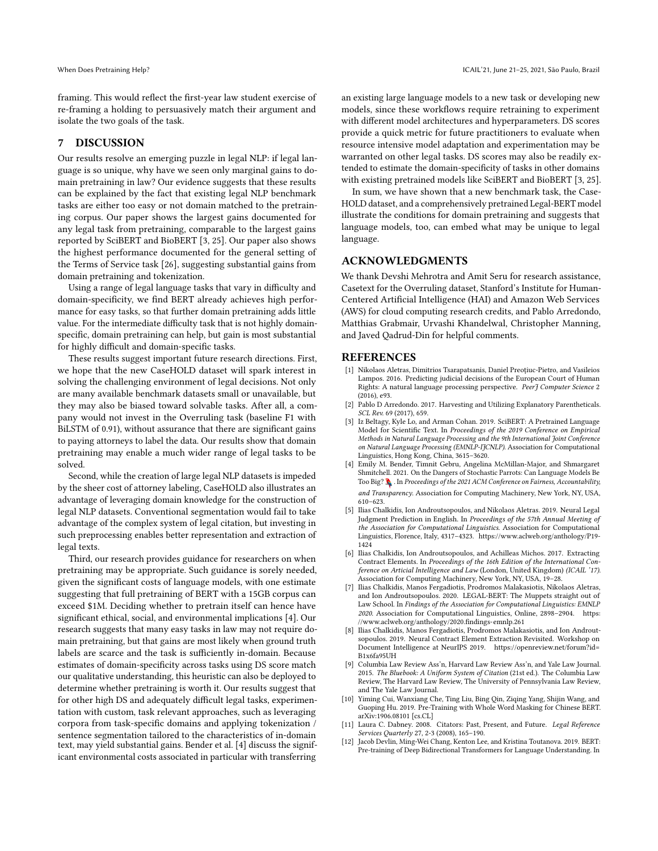framing. This would reflect the first-year law student exercise of re-framing a holding to persuasively match their argument and isolate the two goals of the task.

#### 7 DISCUSSION

Our results resolve an emerging puzzle in legal NLP: if legal language is so unique, why have we seen only marginal gains to domain pretraining in law? Our evidence suggests that these results can be explained by the fact that existing legal NLP benchmark tasks are either too easy or not domain matched to the pretraining corpus. Our paper shows the largest gains documented for any legal task from pretraining, comparable to the largest gains reported by SciBERT and BioBERT [\[3,](#page-8-5) [25\]](#page-9-16). Our paper also shows the highest performance documented for the general setting of the Terms of Service task [\[26\]](#page-9-25), suggesting substantial gains from domain pretraining and tokenization.

Using a range of legal language tasks that vary in difficulty and domain-specificity, we find BERT already achieves high performance for easy tasks, so that further domain pretraining adds little value. For the intermediate difficulty task that is not highly domainspecific, domain pretraining can help, but gain is most substantial for highly difficult and domain-specific tasks.

These results suggest important future research directions. First, we hope that the new CaseHOLD dataset will spark interest in solving the challenging environment of legal decisions. Not only are many available benchmark datasets small or unavailable, but they may also be biased toward solvable tasks. After all, a company would not invest in the Overruling task (baseline F1 with BiLSTM of 0.91), without assurance that there are significant gains to paying attorneys to label the data. Our results show that domain pretraining may enable a much wider range of legal tasks to be solved.

Second, while the creation of large legal NLP datasets is impeded by the sheer cost of attorney labeling, CaseHOLD also illustrates an advantage of leveraging domain knowledge for the construction of legal NLP datasets. Conventional segmentation would fail to take advantage of the complex system of legal citation, but investing in such preprocessing enables better representation and extraction of legal texts.

Third, our research provides guidance for researchers on when pretraining may be appropriate. Such guidance is sorely needed, given the significant costs of language models, with one estimate suggesting that full pretraining of BERT with a 15GB corpus can exceed \$1M. Deciding whether to pretrain itself can hence have significant ethical, social, and environmental implications [\[4\]](#page-8-4). Our research suggests that many easy tasks in law may not require domain pretraining, but that gains are most likely when ground truth labels are scarce and the task is sufficiently in-domain. Because estimates of domain-specificity across tasks using DS score match our qualitative understanding, this heuristic can also be deployed to determine whether pretraining is worth it. Our results suggest that for other high DS and adequately difficult legal tasks, experimentation with custom, task relevant approaches, such as leveraging corpora from task-specific domains and applying tokenization / sentence segmentation tailored to the characteristics of in-domain text, may yield substantial gains. Bender et al. [\[4\]](#page-8-4) discuss the significant environmental costs associated in particular with transferring

an existing large language models to a new task or developing new models, since these workflows require retraining to experiment with different model architectures and hyperparameters. DS scores provide a quick metric for future practitioners to evaluate when resource intensive model adaptation and experimentation may be warranted on other legal tasks. DS scores may also be readily extended to estimate the domain-specificity of tasks in other domains with existing pretrained models like SciBERT and BioBERT [\[3,](#page-8-5) [25\]](#page-9-16).

In sum, we have shown that a new benchmark task, the Case-HOLD dataset, and a comprehensively pretrained Legal-BERT model illustrate the conditions for domain pretraining and suggests that language models, too, can embed what may be unique to legal language.

## ACKNOWLEDGMENTS

We thank Devshi Mehrotra and Amit Seru for research assistance, Casetext for the Overruling dataset, Stanford's Institute for Human-Centered Artificial Intelligence (HAI) and Amazon Web Services (AWS) for cloud computing research credits, and Pablo Arredondo, Matthias Grabmair, Urvashi Khandelwal, Christopher Manning, and Javed Qadrud-Din for helpful comments.

#### **REFERENCES**

- <span id="page-8-9"></span>[1] Nikolaos Aletras, Dimitrios Tsarapatsanis, Daniel Preoţiuc-Pietro, and Vasileios Lampos. 2016. Predicting judicial decisions of the European Court of Human Rights: A natural language processing perspective. PeerJ Computer Science 2 (2016), e93.
- <span id="page-8-3"></span>Pablo D Arredondo. 2017. Harvesting and Utilizing Explanatory Parentheticals. SCL Rev. 69 (2017), 659.
- <span id="page-8-5"></span>[3] Iz Beltagy, Kyle Lo, and Arman Cohan. 2019. SciBERT: A Pretrained Language Model for Scientific Text. In Proceedings of the 2019 Conference on Empirical Methods in Natural Language Processing and the 9th International Joint Conference on Natural Language Processing (EMNLP-IJCNLP). Association for Computational Linguistics, Hong Kong, China, 3615–3620.
- <span id="page-8-4"></span>[4] Emily M. Bender, Timnit Gebru, Angelina McMillan-Major, and Shmargaret Shmitchell. 2021. On the Dangers of Stochastic Parrots: Can Language Models Be Too Big? . In Proceedings of the 2021 ACM Conference on Fairness, Accountability, and Transparency. Association for Computing Machinery, New York, NY, USA, 610–623.
- <span id="page-8-6"></span>[5] Ilias Chalkidis, Ion Androutsopoulos, and Nikolaos Aletras. 2019. Neural Legal Judgment Prediction in English. In Proceedings of the 57th Annual Meeting of the Association for Computational Linguistics. Association for Computational Linguistics, Florence, Italy, 4317–4323. [https://www.aclweb.org/anthology/P19-](https://www.aclweb.org/anthology/P19-1424) [1424](https://www.aclweb.org/anthology/P19-1424)
- <span id="page-8-7"></span>[6] Ilias Chalkidis, Ion Androutsopoulos, and Achilleas Michos. 2017. Extracting Contract Elements. In Proceedings of the 16th Edition of the International Conference on Articial Intelligence and Law (London, United Kingdom) (ICAIL '17). Association for Computing Machinery, New York, NY, USA, 19–28.
- <span id="page-8-1"></span>[7] Ilias Chalkidis, Manos Fergadiotis, Prodromos Malakasiotis, Nikolaos Aletras, and Ion Androutsopoulos. 2020. LEGAL-BERT: The Muppets straight out of Law School. In Findings of the Association for Computational Linguistics: EMNLP 2020. Association for Computational Linguistics, Online, 2898–2904. [https:](https://www.aclweb.org/anthology/2020.findings-emnlp.261) [//www.aclweb.org/anthology/2020.findings-emnlp.261](https://www.aclweb.org/anthology/2020.findings-emnlp.261)
- <span id="page-8-8"></span>[8] Ilias Chalkidis, Manos Fergadiotis, Prodromos Malakasiotis, and Ion Androutsopoulos. 2019. Neural Contract Element Extraction Revisited. Workshop on Document Intelligence at NeurIPS 2019. [https://openreview.net/forum?id=](https://openreview.net/forum?id=B1x6fa95UH) [B1x6fa95UH](https://openreview.net/forum?id=B1x6fa95UH)
- <span id="page-8-2"></span>[9] Columbia Law Review Ass'n, Harvard Law Review Ass'n, and Yale Law Journal. 2015. The Bluebook: A Uniform System of Citation (21st ed.). The Columbia Law Review, The Harvard Law Review, The University of Pennsylvania Law Review, and The Yale Law Journal.
- <span id="page-8-11"></span>[10] Yiming Cui, Wanxiang Che, Ting Liu, Bing Qin, Ziqing Yang, Shijin Wang, and Guoping Hu. 2019. Pre-Training with Whole Word Masking for Chinese BERT. arXiv[:1906.08101](https://arxiv.org/abs/1906.08101) [cs.CL]
- <span id="page-8-10"></span>[11] Laura C. Dabney. 2008. Citators: Past, Present, and Future. Legal Reference Services Quarterly 27, 2-3 (2008), 165–190.
- <span id="page-8-0"></span>[12] Jacob Devlin, Ming-Wei Chang, Kenton Lee, and Kristina Toutanova. 2019. BERT: Pre-training of Deep Bidirectional Transformers for Language Understanding. In